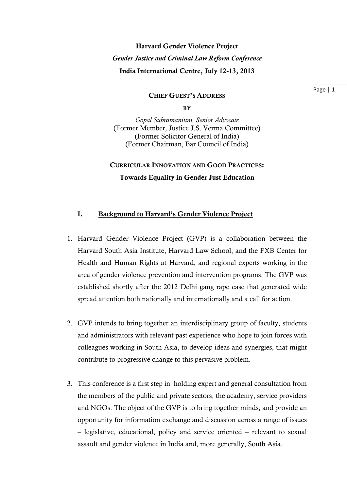# Harvard Gender Violence Project *Gender Justice and Criminal Law Reform Conference*  India International Centre, July 12-13, 2013

#### CHIEF GUEST'S ADDRESS

**BY** 

*Gopal Subramanium, Senior Advocate*  (Former Member, Justice J.S. Verma Committee) (Former Solicitor General of India) (Former Chairman, Bar Council of India)

CURRICULAR INNOVATION AND GOOD PRACTICES: Towards Equality in Gender Just Education

#### I. Background to Harvard's Gender Violence Project

- 1. Harvard Gender Violence Project (GVP) is a collaboration between the Harvard South Asia Institute, Harvard Law School, and the FXB Center for Health and Human Rights at Harvard, and regional experts working in the area of gender violence prevention and intervention programs. The GVP was established shortly after the 2012 Delhi gang rape case that generated wide spread attention both nationally and internationally and a call for action.
- 2. GVP intends to bring together an interdisciplinary group of faculty, students and administrators with relevant past experience who hope to join forces with colleagues working in South Asia, to develop ideas and synergies, that might contribute to progressive change to this pervasive problem.
- 3. This conference is a first step in holding expert and general consultation from the members of the public and private sectors, the academy, service providers and NGOs. The object of the GVP is to bring together minds, and provide an opportunity for information exchange and discussion across a range of issues – legislative, educational, policy and service oriented – relevant to sexual assault and gender violence in India and, more generally, South Asia.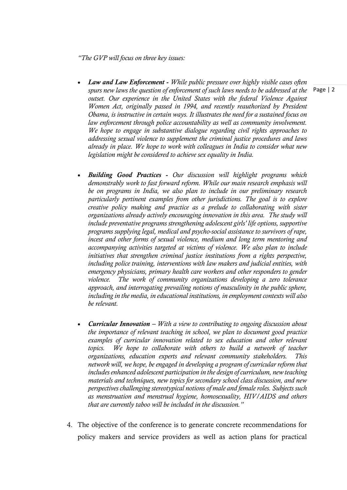*"The GVP will focus on three key issues:* 

- *Law and Law Enforcement - While public pressure over highly visible cases often spurs new laws the question of enforcement of such laws needs to be addressed at the outset. Our experience in the United States with the federal Violence Against Women Act, originally passed in 1994, and recently reauthorized by President Obama, is instructive in certain ways. It illustrates the need for a sustained focus on*  law enforcement through police accountability as well as community involvement. *We hope to engage in substantive dialogue regarding civil rights approaches to addressing sexual violence to supplement the criminal justice procedures and laws already in place. We hope to work with colleagues in India to consider what new legislation might be considered to achieve sex equality in India.*
- *Building Good Practices Our discussion will highlight programs which demonstrably work to fast forward reform. While our main research emphasis will be on programs in India, we also plan to include in our preliminary research particularly pertinent examples from other jurisdictions. The goal is to explore creative policy making and practice as a prelude to collaborating with sister organizations already actively encouraging innovation in this area. The study will include preventative programs strengthening adolescent girls' life options, supportive programs supplying legal, medical and psycho-social assistance to survivors of rape, incest and other forms of sexual violence, medium and long term mentoring and accompanying activities targeted at victims of violence. We also plan to include*  initiatives that strengthen criminal justice institutions from a rights perspective, *including police training, interventions with law makers and judicial entities, with emergency physicians, primary health care workers and other responders to gender violence. The work of community organizations developing a zero tolerance approach, and interrogating prevailing notions of masculinity in the public sphere, including in the media, in educational institutions, in employment contexts will also be relevant.*
- *Curricular Innovation – With a view to contributing to ongoing discussion about the importance of relevant teaching in school, we plan to document good practice*  examples of curricular innovation related to sex education and other relevant topics. We hope to collaborate with others to build a network of teacher *organizations, education experts and relevant community stakeholders. This network will, we hope, be engaged in developing a program of curricular reform that includes enhanced adolescent participation in the design of curriculum, new teaching materials and techniques, new topics for secondary school class discussion, and new perspectives challenging stereotypical notions of male and female roles. Subjects such as menstruation and menstrual hygiene, homosexuality, HIV/AIDS and others that are currently taboo will be included in the discussion."*
- 4. The objective of the conference is to generate concrete recommendations for policy makers and service providers as well as action plans for practical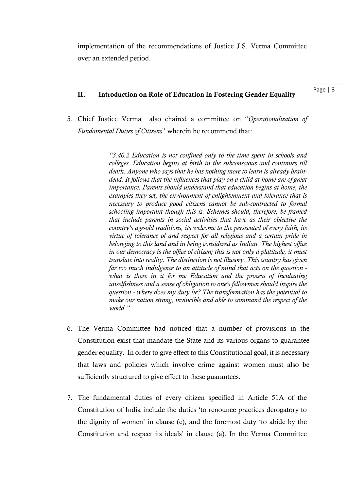implementation of the recommendations of Justice J.S. Verma Committee over an extended period.

# II. Introduction on Role of Education in Fostering Gender Equality

Page | 3

5. Chief Justice Verma also chaired a committee on "*Operationalization of Fundamental Duties of Citizens*" wherein he recommend that:

> *"3.40.2 Education is not confined only to the time spent in schools and colleges. Education begins at birth in the subconscious and continues till death. Anyone who says that he has nothing more to learn is already braindead. It follows that the influences that play on a child at home are of great importance. Parents should understand that education begins at home, the examples they set, the environment of enlightenment and tolerance that is necessary to produce good citizens cannot be sub-contracted to formal schooling important though this is. Schemes should, therefore, be framed that include parents in social activities that have as their objective the country's age-old traditions, its welcome to the persecuted of every faith, its virtue of tolerance of and respect for all religious and a certain pride in belonging to this land and in being considered as Indian. The highest office in our democracy is the office of citizen; this is not only a platitude, it must translate into reality. The distinction is not illusory. This country has given far too much indulgence to an attitude of mind that acts on the question what is there in it for me Education and the process of inculcating unselfishness and a sense of obligation to one's fellowmen should inspire the question - where does my duty lie? The transformation has the potential to make our nation strong, invincible and able to command the respect of the world."*

- 6. The Verma Committee had noticed that a number of provisions in the Constitution exist that mandate the State and its various organs to guarantee gender equality. In order to give effect to this Constitutional goal, it is necessary that laws and policies which involve crime against women must also be sufficiently structured to give effect to these guarantees.
- 7. The fundamental duties of every citizen specified in Article 51A of the Constitution of India include the duties 'to renounce practices derogatory to the dignity of women' in clause (e), and the foremost duty 'to abide by the Constitution and respect its ideals' in clause (a). In the Verma Committee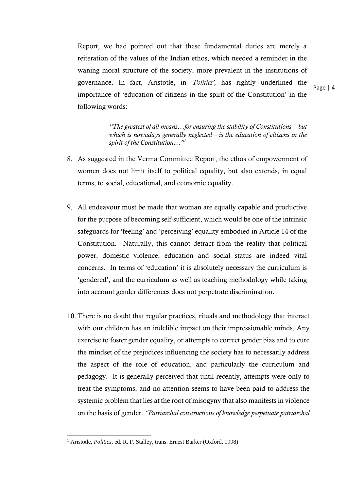Report, we had pointed out that these fundamental duties are merely a reiteration of the values of the Indian ethos, which needed a reminder in the waning moral structure of the society, more prevalent in the institutions of governance. In fact, Aristotle, in *'Politics',* has rightly underlined the importance of 'education of citizens in the spirit of the Constitution' in the following words:

Page | 4

*"The greatest of all means…for ensuring the stability of Constitutions—but which is nowadays generally neglected—is the education of citizens in the spirit of the Constitution…"1*

- 8. As suggested in the Verma Committee Report, the ethos of empowerment of women does not limit itself to political equality, but also extends, in equal terms, to social, educational, and economic equality.
- 9. All endeavour must be made that woman are equally capable and productive for the purpose of becoming self-sufficient, which would be one of the intrinsic safeguards for 'feeling' and 'perceiving' equality embodied in Article 14 of the Constitution. Naturally, this cannot detract from the reality that political power, domestic violence, education and social status are indeed vital concerns. In terms of 'education' it is absolutely necessary the curriculum is 'gendered', and the curriculum as well as teaching methodology while taking into account gender differences does not perpetrate discrimination.
- 10. There is no doubt that regular practices, rituals and methodology that interact with our children has an indelible impact on their impressionable minds. Any exercise to foster gender equality, or attempts to correct gender bias and to cure the mindset of the prejudices influencing the society has to necessarily address the aspect of the role of education, and particularly the curriculum and pedagogy. It is generally perceived that until recently, attempts were only to treat the symptoms, and no attention seems to have been paid to address the systemic problem that lies at the root of misogyny that also manifests in violence on the basis of gender. *"Patriarchal constructions of knowledge perpetuate patriarchal*

<sup>&</sup>lt;sup>1</sup> Aristotle, *Politics*, ed. R. F. Stalley, trans. Ernest Barker (Oxford, 1998)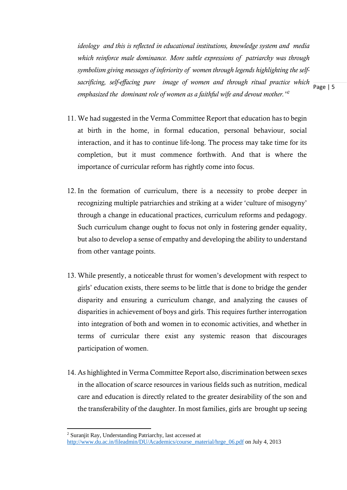*ideology and this is reflected in educational institutions, knowledge system and media which reinforce male dominance. More subtle expressions of patriarchy was through symbolism giving messages of inferiority of women through legends highlighting the selfsacrificing, self-effacing pure image of women and through ritual practice which emphasized the dominant role of women as a faithful wife and devout mother."2*

11. We had suggested in the Verma Committee Report that education has to begin at birth in the home, in formal education, personal behaviour, social interaction, and it has to continue life-long. The process may take time for its completion, but it must commence forthwith. And that is where the importance of curricular reform has rightly come into focus.

- 12. In the formation of curriculum, there is a necessity to probe deeper in recognizing multiple patriarchies and striking at a wider 'culture of misogyny' through a change in educational practices, curriculum reforms and pedagogy. Such curriculum change ought to focus not only in fostering gender equality, but also to develop a sense of empathy and developing the ability to understand from other vantage points.
- 13. While presently, a noticeable thrust for women's development with respect to girls' education exists, there seems to be little that is done to bridge the gender disparity and ensuring a curriculum change, and analyzing the causes of disparities in achievement of boys and girls. This requires further interrogation into integration of both and women in to economic activities, and whether in terms of curricular there exist any systemic reason that discourages participation of women.
- 14. As highlighted in Verma Committee Report also, discrimination between sexes in the allocation of scarce resources in various fields such as nutrition, medical care and education is directly related to the greater desirability of the son and the transferability of the daughter. In most families, girls are brought up seeing

<sup>2</sup> Suranjit Ray, Understanding Patriarchy, last accessed at http://www.du.ac.in/fileadmin/DU/Academics/course\_material/hrge\_06.pdf on July 4, 2013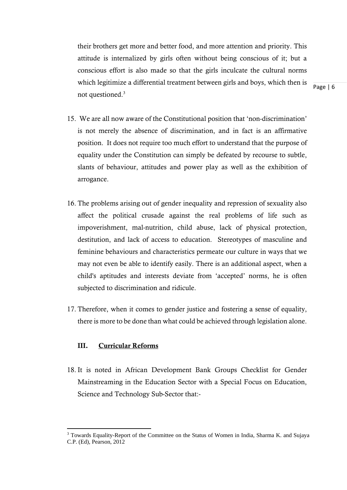their brothers get more and better food, and more attention and priority. This attitude is internalized by girls often without being conscious of it; but a conscious effort is also made so that the girls inculcate the cultural norms which legitimize a differential treatment between girls and boys, which then is not questioned.<sup>3</sup>

Page | 6

- 15. We are all now aware of the Constitutional position that 'non-discrimination' is not merely the absence of discrimination, and in fact is an affirmative position. It does not require too much effort to understand that the purpose of equality under the Constitution can simply be defeated by recourse to subtle, slants of behaviour, attitudes and power play as well as the exhibition of arrogance.
- 16. The problems arising out of gender inequality and repression of sexuality also affect the political crusade against the real problems of life such as impoverishment, mal-nutrition, child abuse, lack of physical protection, destitution, and lack of access to education. Stereotypes of masculine and feminine behaviours and characteristics permeate our culture in ways that we may not even be able to identify easily. There is an additional aspect, when a child's aptitudes and interests deviate from 'accepted' norms, he is often subjected to discrimination and ridicule.
- 17. Therefore, when it comes to gender justice and fostering a sense of equality, there is more to be done than what could be achieved through legislation alone.

### III. Curricular Reforms

18. It is noted in African Development Bank Groups Checklist for Gender Mainstreaming in the Education Sector with a Special Focus on Education, Science and Technology Sub-Sector that:-

<sup>&</sup>lt;sup>3</sup> Towards Equality-Report of the Committee on the Status of Women in India, Sharma K. and Sujaya C.P. (Ed), Pearson, 2012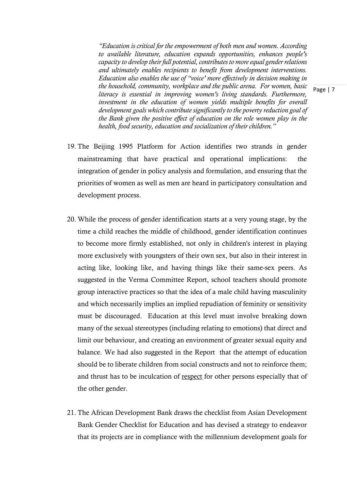*"Education is critical for the empowerment of both men and women. According to available literature, education expands opportunities, enhances people's capacity to develop their full potential, contributes to more equal gender relations and ultimately enables recipients to benefit from development interventions. Education also enables the use of "voice' more effectively in decision making in the household, community, workplace and the public arena. For women, basic literacy is essential in improving women's living standards. Furthermore, investment in the education of women yields multiple benefits for overall development goals which contribute significantly to the poverty reduction goal of the Bank given the positive effect of education on the role women play in the health, food security, education and socialization of their children."*

- 19. The Beijing 1995 Platform for Action identifies two strands in gender mainstreaming that have practical and operational implications: the integration of gender in policy analysis and formulation, and ensuring that the priorities of women as well as men are heard in participatory consultation and development process.
- 20. While the process of gender identification starts at a very young stage, by the time a child reaches the middle of childhood, gender identification continues to become more firmly established, not only in children's interest in playing more exclusively with youngsters of their own sex, but also in their interest in acting like, looking like, and having things like their same-sex peers. As suggested in the Verma Committee Report, school teachers should promote group interactive practices so that the idea of a male child having masculinity and which necessarily implies an implied repudiation of feminity or sensitivity must be discouraged. Education at this level must involve breaking down many of the sexual stereotypes (including relating to emotions) that direct and limit our behaviour, and creating an environment of greater sexual equity and balance. We had also suggested in the Report that the attempt of education should be to liberate children from social constructs and not to reinforce them; and thrust has to be inculcation of respect for other persons especially that of the other gender.
- 21. The African Development Bank draws the checklist from Asian Development Bank Gender Checklist for Education and has devised a strategy to endeavor that its projects are in compliance with the millennium development goals for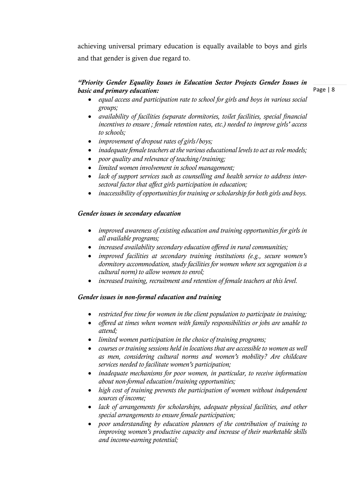achieving universal primary education is equally available to boys and girls and that gender is given due regard to.

## *"Priority Gender Equality Issues in Education Sector Projects Gender Issues in basic and primary education:*

Page | 8

- *equal access and participation rate to school for girls and boys in various social groups;*
- *availability of facilities (separate dormitories, toilet facilities, special financial incentives to ensure ; female retention rates, etc.) needed to improve girls' access to schools;*
- *improvement of dropout rates of girls/boys;*
- *inadequate female teachers at the various educational levels to act as role models;*
- *poor quality and relevance of teaching/training;*
- *limited women involvement in school management;*
- *lack of support services such as counselling and health service to address intersectoral factor that affect girls participation in education;*
- *inaccessibility of opportunities for training or scholarship for both girls and boys.*

## *Gender issues in secondary education*

- *improved awareness of existing education and training opportunities for girls in all available programs;*
- *increased availability secondary education offered in rural communities;*
- *improved facilities at secondary training institutions (e.g., secure women's dormitory accommodation, study facilities for women where sex segregation is a cultural norm) to allow women to enrol;*
- *increased training, recruitment and retention of female teachers at this level.*

### *Gender issues in non-formal education and training*

- *restricted free time for women in the client population to participate in training;*
- *offered at times when women with family responsibilities or jobs are unable to attend;*
- *limited women participation in the choice of training programs;*
- *courses or training sessions held in locations that are accessible to women as well as men, considering cultural norms and women's mobility? Are childcare services needed to facilitate women's participation;*
- *inadequate mechanisms for poor women, in particular, to receive information about non-formal education/training opportunities;*
- *high cost of training prevents the participation of women without independent sources of income;*
- *lack of arrangements for scholarships, adequate physical facilities, and other special arrangements to ensure female participation;*
- *poor understanding by education planners of the contribution of training to improving women's productive capacity and increase of their marketable skills and income-earning potential;*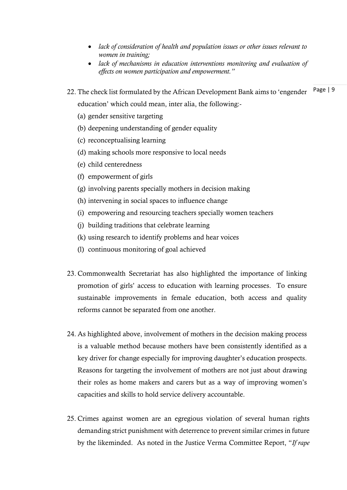- *lack of consideration of health and population issues or other issues relevant to women in training;*
- *lack of mechanisms in education interventions monitoring and evaluation of effects on women participation and empowerment."*
- 22. The check list formulated by the African Development Bank aims to 'engender Page | 9 education' which could mean, inter alia, the following:-
	- (a) gender sensitive targeting
	- (b) deepening understanding of gender equality
	- (c) reconceptualising learning
	- (d) making schools more responsive to local needs
	- (e) child centeredness
	- (f) empowerment of girls
	- (g) involving parents specially mothers in decision making
	- (h) intervening in social spaces to influence change
	- (i) empowering and resourcing teachers specially women teachers
	- (j) building traditions that celebrate learning
	- (k) using research to identify problems and hear voices
	- (l) continuous monitoring of goal achieved
- 23. Commonwealth Secretariat has also highlighted the importance of linking promotion of girls' access to education with learning processes. To ensure sustainable improvements in female education, both access and quality reforms cannot be separated from one another.
- 24. As highlighted above, involvement of mothers in the decision making process is a valuable method because mothers have been consistently identified as a key driver for change especially for improving daughter's education prospects. Reasons for targeting the involvement of mothers are not just about drawing their roles as home makers and carers but as a way of improving women's capacities and skills to hold service delivery accountable.
- 25. Crimes against women are an egregious violation of several human rights demanding strict punishment with deterrence to prevent similar crimes in future by the likeminded. As noted in the Justice Verma Committee Report, "*If rape*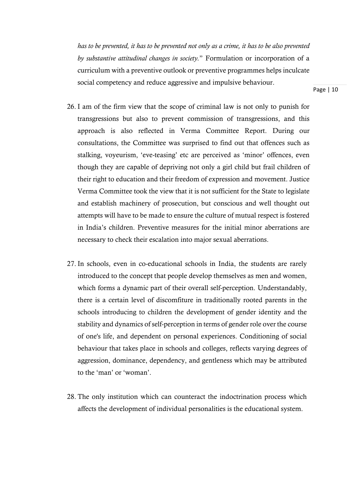*has to be prevented, it has to be prevented not only as a crime, it has to be also prevented by substantive attitudinal changes in society.*" Formulation or incorporation of a curriculum with a preventive outlook or preventive programmes helps inculcate social competency and reduce aggressive and impulsive behaviour.

- 26. I am of the firm view that the scope of criminal law is not only to punish for transgressions but also to prevent commission of transgressions, and this approach is also reflected in Verma Committee Report. During our consultations, the Committee was surprised to find out that offences such as stalking, voyeurism, 'eve-teasing' etc are perceived as 'minor' offences, even though they are capable of depriving not only a girl child but frail children of their right to education and their freedom of expression and movement. Justice Verma Committee took the view that it is not sufficient for the State to legislate and establish machinery of prosecution, but conscious and well thought out attempts will have to be made to ensure the culture of mutual respect is fostered in India's children. Preventive measures for the initial minor aberrations are necessary to check their escalation into major sexual aberrations.
- 27. In schools, even in co-educational schools in India, the students are rarely introduced to the concept that people develop themselves as men and women, which forms a dynamic part of their overall self-perception. Understandably, there is a certain level of discomfiture in traditionally rooted parents in the schools introducing to children the development of gender identity and the stability and dynamics of self-perception in terms of gender role over the course of one's life, and dependent on personal experiences. Conditioning of social behaviour that takes place in schools and colleges, reflects varying degrees of aggression, dominance, dependency, and gentleness which may be attributed to the 'man' or 'woman'.
- 28. The only institution which can counteract the indoctrination process which affects the development of individual personalities is the educational system.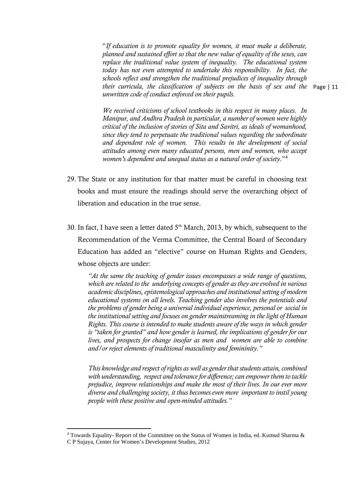their curricula, the classification of subjects on the basis of sex and the Page | 11 "*If education is to promote equality for women, it must make a deliberate, planned and sustained effort so that the new value of equality of the sexes, can replace the traditional value system of inequality. The educational system today has not even attempted to undertake this responsibility. In fact, the schools reflect and strengthen the traditional prejudices of inequality through unwritten code of conduct enforced on their pupils.* 

*We received criticisms of school textbooks in this respect in many places. In Manipur, and Andhra Pradesh in particular, a number of women were highly critical of the inclusion of stories of Sita and Savitri, as ideals of womanhood, since they tend to perpetuate the traditional values regarding the subordinate and dependent role of women. This results in the development of social attitudes among even many educated persons, men and women, who accept women's dependent and unequal status as a natural order of society.*"<sup>4</sup>

- 29. The State or any institution for that matter must be careful in choosing text books and must ensure the readings should serve the overarching object of liberation and education in the true sense.
- 30. In fact, I have seen a letter dated  $5<sup>th</sup>$  March, 2013, by which, subsequent to the Recommendation of the Verma Committee, the Central Board of Secondary Education has added an "elective" course on Human Rights and Genders, whose objects are under:

*"At the same the teaching of gender issues encompasses a wide range of questions, which are related to the underlying concepts of gender as they are evolved in various academic disciplines, epistemological approaches and institutional setting of modern educational systems on all levels. Teaching gender also involves the potentials and the problems of gender being a universal individual experience, personal or social in the institutional setting and focuses on gender mainstreaming in the light of Human Rights. This course is intended to make students aware of the ways in which gender is "taken for granted" and how gender is learned, the implications of gender for our lives, and prospects for change insofar as men and women are able to combine and/or reject elements of traditional masculinity and femininity."* 

*This knowledge and respect of rights as well as gender that students attain, combined with understanding, respect and tolerance for difference; can empower them to tackle prejudice, improve relationships and make the most of their lives. In our ever more diverse and challenging society, it thus becomes even more important to instil young people with these positive and open-minded attitudes."* 

<sup>4</sup> Towards Equality- Report of the Committee on the Status of Women in India, ed. Kumud Sharma & C P Sujaya, Center for Women's Development Studies, 2012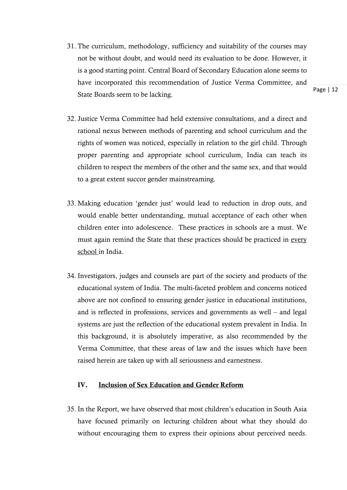- 31. The curriculum, methodology, sufficiency and suitability of the courses may not be without doubt, and would need its evaluation to be done. However, it is a good starting point. Central Board of Secondary Education alone seems to have incorporated this recommendation of Justice Verma Committee, and State Boards seem to be lacking.
- 32. Justice Verma Committee had held extensive consultations, and a direct and rational nexus between methods of parenting and school curriculum and the rights of women was noticed, especially in relation to the girl child. Through proper parenting and appropriate school curriculum, India can teach its children to respect the members of the other and the same sex, and that would to a great extent succor gender mainstreaming.
- 33. Making education 'gender just' would lead to reduction in drop outs, and would enable better understanding, mutual acceptance of each other when children enter into adolescence. These practices in schools are a must. We must again remind the State that these practices should be practiced in every school in India.
- 34. Investigators, judges and counsels are part of the society and products of the educational system of India. The multi-faceted problem and concerns noticed above are not confined to ensuring gender justice in educational institutions, and is reflected in professions, services and governments as well – and legal systems are just the reflection of the educational system prevalent in India. In this background, it is absolutely imperative, as also recommended by the Verma Committee, that these areas of law and the issues which have been raised herein are taken up with all seriousness and earnestness.

### IV. Inclusion of Sex Education and Gender Reform

35. In the Report, we have observed that most children's education in South Asia have focused primarily on lecturing children about what they should do without encouraging them to express their opinions about perceived needs.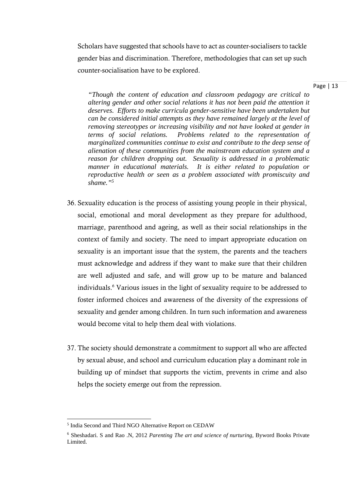Scholars have suggested that schools have to act as counter-socialisers to tackle gender bias and discrimination. Therefore, methodologies that can set up such counter-socialisation have to be explored.

#### Page | 13

*"Though the content of education and classroom pedagogy are critical to altering gender and other social relations it has not been paid the attention it deserves. Efforts to make curricula gender-sensitive have been undertaken but can be considered initial attempts as they have remained largely at the level of removing stereotypes or increasing visibility and not have looked at gender in terms of social relations. Problems related to the representation of marginalized communities continue to exist and contribute to the deep sense of alienation of these communities from the mainstream education system and a reason for children dropping out. Sexuality is addressed in a problematic manner in educational materials. It is either related to population or reproductive health or seen as a problem associated with promiscuity and shame."5*

- 36. Sexuality education is the process of assisting young people in their physical, social, emotional and moral development as they prepare for adulthood, marriage, parenthood and ageing, as well as their social relationships in the context of family and society. The need to impart appropriate education on sexuality is an important issue that the system, the parents and the teachers must acknowledge and address if they want to make sure that their children are well adjusted and safe, and will grow up to be mature and balanced individuals.<sup>6</sup> Various issues in the light of sexuality require to be addressed to foster informed choices and awareness of the diversity of the expressions of sexuality and gender among children. In turn such information and awareness would become vital to help them deal with violations.
- 37. The society should demonstrate a commitment to support all who are affected by sexual abuse, and school and curriculum education play a dominant role in building up of mindset that supports the victim, prevents in crime and also helps the society emerge out from the repression.

<sup>5</sup> India Second and Third NGO Alternative Report on CEDAW

<sup>6</sup> Sheshadari. S and Rao .N, 2012 *Parenting The art and science of nurturing*, Byword Books Private Limited.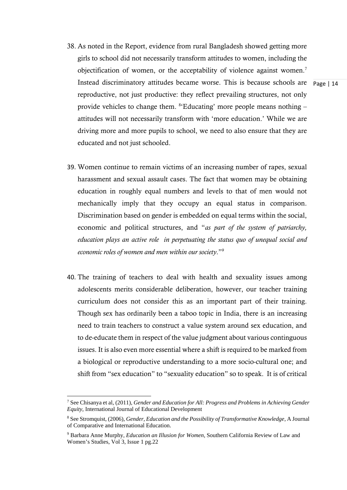- 38. As noted in the Report, evidence from rural Bangladesh showed getting more girls to school did not necessarily transform attitudes to women, including the objectification of women, or the acceptability of violence against women.7 Instead discriminatory attitudes became worse. This is because schools are reproductive, not just productive: they reflect prevailing structures, not only provide vehicles to change them.  $8$ <sup>\*</sup>Educating' more people means nothing  $$ attitudes will not necessarily transform with 'more education.' While we are driving more and more pupils to school, we need to also ensure that they are educated and not just schooled.
- 39. Women continue to remain victims of an increasing number of rapes, sexual harassment and sexual assault cases. The fact that women may be obtaining education in roughly equal numbers and levels to that of men would not mechanically imply that they occupy an equal status in comparison. Discrimination based on gender is embedded on equal terms within the social, economic and political structures, and "*as part of the system of patriarchy, education plays an active role in perpetuating the status quo of unequal social and economic roles of women and men within our society*."9
- 40. The training of teachers to deal with health and sexuality issues among adolescents merits considerable deliberation, however, our teacher training curriculum does not consider this as an important part of their training. Though sex has ordinarily been a taboo topic in India, there is an increasing need to train teachers to construct a value system around sex education, and to de-educate them in respect of the value judgment about various continguous issues. It is also even more essential where a shift is required to be marked from a biological or reproductive understanding to a more socio-cultural one; and shift from "sex education" to "sexuality education" so to speak. It is of critical

<sup>7</sup> See Chisanya et al, (2011), *Gender and Education for All: Progress and Problems in Achieving Gender Equity*, International Journal of Educational Development

<sup>8</sup> See Stromquist, (2006), *Gender, Education and the Possibility of Transformative Knowledge*, A Journal of Comparative and International Education.

<sup>9</sup> Barbara Anne Murphy*, Education an Illusion for Women*, Southern California Review of Law and Women's Studies, Vol 3, Issue 1 pg.22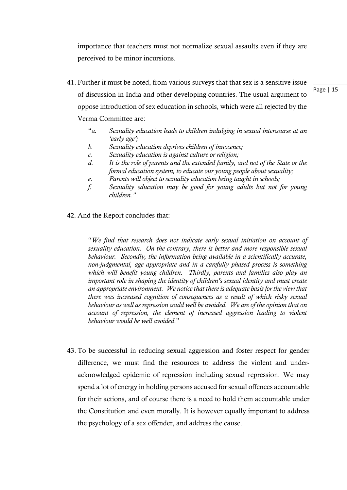importance that teachers must not normalize sexual assaults even if they are perceived to be minor incursions.

- 41. Further it must be noted, from various surveys that that sex is a sensitive issue of discussion in India and other developing countries. The usual argument to oppose introduction of sex education in schools, which were all rejected by the Verma Committee are:
	- "*a. Sexuality education leads to children indulging in sexual intercourse at an 'early age';*
	- *b. Sexuality education deprives children of innocence;*
	- *c. Sexuality education is against culture or religion;*
	- *d. It is the role of parents and the extended family, and not of the State or the formal education system, to educate our young people about sexuality;*
	- *e. Parents will object to sexuality education being taught in schools;*
	- *f. Sexuality education may be good for young adults but not for young children."*
- 42. And the Report concludes that:

"*We find that research does not indicate early sexual initiation on account of sexuality education. On the contrary, there is better and more responsible sexual behaviour. Secondly, the information being available in a scientifically accurate, non-judgmental, age appropriate and in a carefully phased process is something which will benefit young children. Thirdly, parents and families also play an important role in shaping the identity of children's sexual identity and must create an appropriate environment. We notice that there is adequate basis for the view that there was increased cognition of consequences as a result of which risky sexual behaviour as well as repression could well be avoided. We are of the opinion that on account of repression, the element of increased aggression leading to violent behaviour would be well avoided*."

43. To be successful in reducing sexual aggression and foster respect for gender difference, we must find the resources to address the violent and underacknowledged epidemic of repression including sexual repression. We may spend a lot of energy in holding persons accused for sexual offences accountable for their actions, and of course there is a need to hold them accountable under the Constitution and even morally. It is however equally important to address the psychology of a sex offender, and address the cause.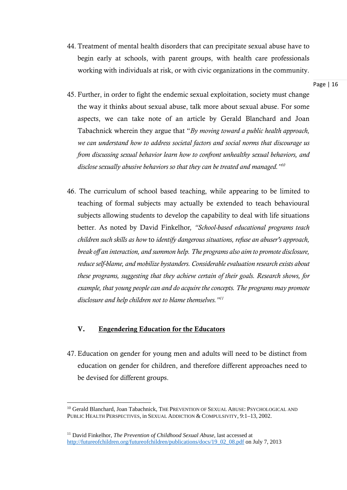44. Treatment of mental health disorders that can precipitate sexual abuse have to begin early at schools, with parent groups, with health care professionals working with individuals at risk, or with civic organizations in the community.

Page | 16

- 45. Further, in order to fight the endemic sexual exploitation, society must change the way it thinks about sexual abuse, talk more about sexual abuse. For some aspects, we can take note of an article by Gerald Blanchard and Joan Tabachnick wherein they argue that "*By moving toward a public health approach, we can understand how to address societal factors and social norms that discourage us from discussing sexual behavior learn how to confront unhealthy sexual behaviors, and disclose sexually abusive behaviors so that they can be treated and managed."10*
- 46. The curriculum of school based teaching, while appearing to be limited to teaching of formal subjects may actually be extended to teach behavioural subjects allowing students to develop the capability to deal with life situations better. As noted by David Finkelhor*, "School-based educational programs teach children such skills as how* to *identify dangerous situations, refuse an abuser's approach, break off an interaction, and summon help. The programs also aim to promote disclosure, reduce self-blame, and mobilize bystanders. Considerable evaluation research exists about these programs, suggesting that they achieve certain of their goals. Research shows, for example, that young people can and do acquire the concepts. The programs may promote disclosure and help children not to blame themselves."11*

## V. Engendering Education for the Educators

47. Education on gender for young men and adults will need to be distinct from education on gender for children, and therefore different approaches need to be devised for different groups.

<sup>&</sup>lt;sup>10</sup> Gerald Blanchard, Joan Tabachnick, THE PREVENTION OF SEXUAL ABUSE: PSYCHOLOGICAL AND PUBLIC HEALTH PERSPECTIVES, in SEXUAL ADDICTION & COMPULSIVITY, 9:1–13, 2002.

<sup>&</sup>lt;sup>11</sup> David Finkelhor, *The Prevention of Childhood Sexual Abuse*, last accessed at http://futureofchildren.org/futureofchildren/publications/docs/19\_02\_08.pdf on July 7, 2013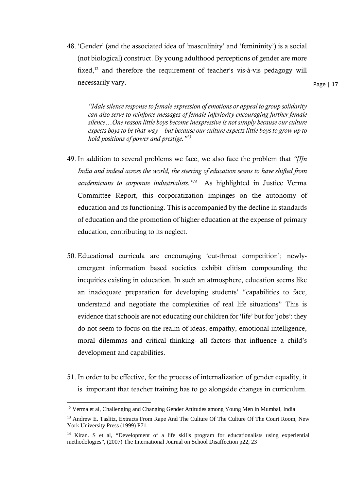48. 'Gender' (and the associated idea of 'masculinity' and 'femininity') is a social (not biological) construct. By young adulthood perceptions of gender are more fixed, $12$  and therefore the requirement of teacher's vis-à-vis pedagogy will necessarily vary.

Page | 17

*"Male silence response to female expression of emotions or appeal to group solidarity can also serve to reinforce messages of female inferiority encouraging further female silence…One reason little boys become inexpressive is not simply because our culture expects boys to be that way – but because our culture expects little boys to grow up to hold positions of power and prestige."13*

- 49. In addition to several problems we face, we also face the problem that *"[I]n India and indeed across the world, the steering of education seems to have shifted from academicians to corporate industrialists."14* As highlighted in Justice Verma Committee Report, this corporatization impinges on the autonomy of education and its functioning. This is accompanied by the decline in standards of education and the promotion of higher education at the expense of primary education, contributing to its neglect.
- 50. Educational curricula are encouraging 'cut-throat competition'; newlyemergent information based societies exhibit elitism compounding the inequities existing in education. In such an atmosphere, education seems like an inadequate preparation for developing students' "capabilities to face, understand and negotiate the complexities of real life situations" This is evidence that schools are not educating our children for 'life' but for 'jobs': they do not seem to focus on the realm of ideas, empathy, emotional intelligence, moral dilemmas and critical thinking- all factors that influence a child's development and capabilities.
- 51. In order to be effective, for the process of internalization of gender equality, it is important that teacher training has to go alongside changes in curriculum.

<sup>&</sup>lt;sup>12</sup> Verma et al, Challenging and Changing Gender Attitudes among Young Men in Mumbai, India

<sup>&</sup>lt;sup>13</sup> Andrew E. Taslitz, Extracts From Rape And The Culture Of The Culture Of The Court Room, New York University Press (1999) P71

<sup>&</sup>lt;sup>14</sup> Kiran. S et al, "Development of a life skills program for educationalists using experiential methodologies", (2007) The International Journal on School Disaffection p22, 23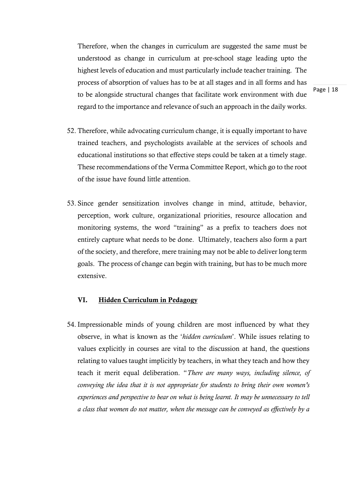Therefore, when the changes in curriculum are suggested the same must be understood as change in curriculum at pre-school stage leading upto the highest levels of education and must particularly include teacher training. The process of absorption of values has to be at all stages and in all forms and has to be alongside structural changes that facilitate work environment with due regard to the importance and relevance of such an approach in the daily works.

Page | 18

- 52. Therefore, while advocating curriculum change, it is equally important to have trained teachers, and psychologists available at the services of schools and educational institutions so that effective steps could be taken at a timely stage. These recommendations of the Verma Committee Report, which go to the root of the issue have found little attention.
- 53. Since gender sensitization involves change in mind, attitude, behavior, perception, work culture, organizational priorities, resource allocation and monitoring systems, the word "training" as a prefix to teachers does not entirely capture what needs to be done. Ultimately, teachers also form a part of the society, and therefore, mere training may not be able to deliver long term goals. The process of change can begin with training, but has to be much more extensive.

### VI. Hidden Curriculum in Pedagogy

54. Impressionable minds of young children are most influenced by what they observe, in what is known as the '*hidden curriculum*'. While issues relating to values explicitly in courses are vital to the discussion at hand, the questions relating to values taught implicitly by teachers, in what they teach and how they teach it merit equal deliberation. "*There are many ways, including silence, of conveying the idea that it is not appropriate for students to bring their own women's experiences and perspective to bear on what is being learnt. It may be unnecessary to tell a class that women do not matter, when the message can be conveyed as effectively by a*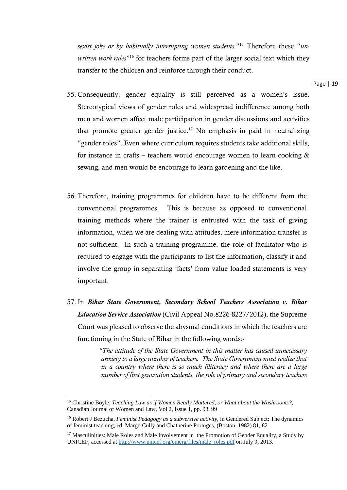*sexist joke or by habitually interrupting women students.*"15 Therefore these "*unwritten work rules*"16 for teachers forms part of the larger social text which they transfer to the children and reinforce through their conduct.

- 55. Consequently, gender equality is still perceived as a women's issue. Stereotypical views of gender roles and widespread indifference among both men and women affect male participation in gender discussions and activities that promote greater gender justice.<sup>17</sup> No emphasis in paid in neutralizing "gender roles". Even where curriculum requires students take additional skills, for instance in crafts – teachers would encourage women to learn cooking  $\&$ sewing, and men would be encourage to learn gardening and the like.
- 56. Therefore, training programmes for children have to be different from the conventional programmes. This is because as opposed to conventional training methods where the trainer is entrusted with the task of giving information, when we are dealing with attitudes, mere information transfer is not sufficient. In such a training programme, the role of facilitator who is required to engage with the participants to list the information, classify it and involve the group in separating 'facts' from value loaded statements is very important.
- 57. In *Bihar State Government, Secondary School Teachers Association v. Bihar Education Service Association* (Civil Appeal No.8226-8227/2012), the Supreme Court was pleased to observe the abysmal conditions in which the teachers are functioning in the State of Bihar in the following words:-

*"The attitude of the State Government in this matter has caused unnecessary anxiety to a large number of teachers. The State Government must realize that in a country where there is so much illiteracy and where there are a large number of first generation students, the role of primary and secondary teachers* 

<sup>15</sup> Christine Boyle, *Teaching Law as if Women Really Mattered, or What about the Washrooms?*, Canadian Journal of Women and Law, Vol 2, Issue 1, pp. 98, 99

<sup>16</sup> Robert J Bezucha, *Feminist Pedagogy as a subversive activity*, in Gendered Subject: The dynamics of feminist teaching, ed. Margo Cully and Chatherine Portuges, (Boston, 1982) 81, 82

<sup>&</sup>lt;sup>17</sup> Masculinities: Male Roles and Male Involvement in the Promotion of Gender Equality, a Study by UNICEF, accessed at http://www.unicef.org/emerg/files/male\_roles.pdf on July 9, 2013.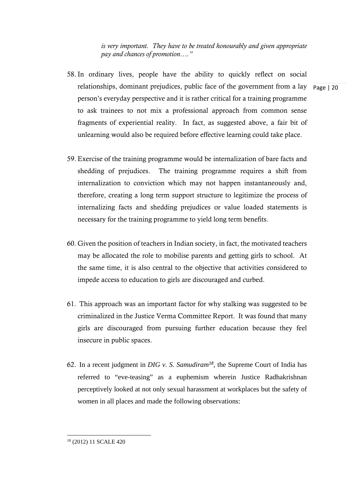*is very important. They have to be treated honourably and given appropriate pay and chances of promotion…."* 

- relationships, dominant prejudices, public face of the government from a lay page | 20 58. In ordinary lives, people have the ability to quickly reflect on social person's everyday perspective and it is rather critical for a training programme to ask trainees to not mix a professional approach from common sense fragments of experiential reality. In fact, as suggested above, a fair bit of unlearning would also be required before effective learning could take place.
- 59. Exercise of the training programme would be internalization of bare facts and shedding of prejudices. The training programme requires a shift from internalization to conviction which may not happen instantaneously and, therefore, creating a long term support structure to legitimize the process of internalizing facts and shedding prejudices or value loaded statements is necessary for the training programme to yield long term benefits.
- 60. Given the position of teachers in Indian society, in fact, the motivated teachers may be allocated the role to mobilise parents and getting girls to school. At the same time, it is also central to the objective that activities considered to impede access to education to girls are discouraged and curbed.
- 61. This approach was an important factor for why stalking was suggested to be criminalized in the Justice Verma Committee Report. It was found that many girls are discouraged from pursuing further education because they feel insecure in public spaces.
- 62. In a recent judgment in *DIG v. S. Samudiram<sup>18</sup>*, the Supreme Court of India has referred to "eve-teasing" as a euphemism wherein Justice Radhakrishnan perceptively looked at not only sexual harassment at workplaces but the safety of women in all places and made the following observations:

<sup>18 (2012) 11</sup> SCALE 420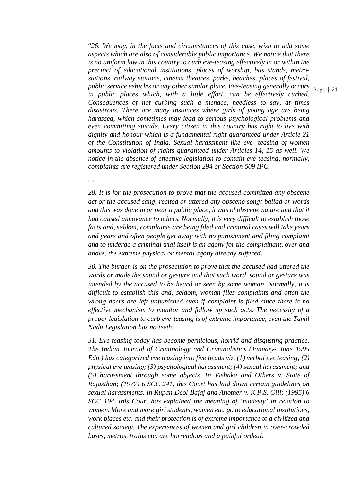public service vehicles or any other similar place. Eve-teasing generally occurs **Page** | 21 "*26. We may, in the facts and circumstances of this case, wish to add some aspects which are also of considerable public importance. We notice that there is no uniform law in this country to curb eve-teasing effectively in or within the precinct of educational institutions, places of worship, bus stands, metrostations, railway stations, cinema theatres, parks, beaches, places of festival,*  in public places which, with a little effort, can be effectively curbed. *Consequences of not curbing such a menace, needless to say, at times disastrous. There are many instances where girls of young age are being harassed, which sometimes may lead to serious psychological problems and even committing suicide. Every citizen in this country has right to live with dignity and honour which is a fundamental right guaranteed under Article 21 of the Constitution of India. Sexual harassment like eve- teasing of women amounts to violation of rights guaranteed under Articles 14, 15 as well. We notice in the absence of effective legislation to contain eve-teasing, normally, complaints are registered under Section 294 or Section 509 IPC.* 

*28. It is for the prosecution to prove that the accused committed any obscene act or the accused sang, recited or uttered any obscene song; ballad or words* 

*…* 

*and this was done in or near a public place, it was of obscene nature and that it had caused annoyance to others. Normally, it is very difficult to establish those facts and, seldom, complaints are being filed and criminal cases will take years and years and often people get away with no punishment and filing complaint and to undergo a criminal trial itself is an agony for the complainant, over and above, the extreme physical or mental agony already suffered.* 

*30. The burden is on the prosecution to prove that the accused had uttered the words or made the sound or gesture and that such word, sound or gesture was intended by the accused to be heard or seen by some woman. Normally, it is difficult to establish this and, seldom, woman files complaints and often the wrong doers are left unpunished even if complaint is filed since there is no effective mechanism to monitor and follow up such acts. The necessity of a proper legislation to curb eve-teasing is of extreme importance, even the Tamil Nadu Legislation has no teeth.* 

*31. Eve teasing today has become pernicious, horrid and disgusting practice. The Indian Journal of Criminology and Criminalistics (January- June 1995 Edn.) has categorized eve teasing into five heads viz. (1) verbal eve teasing; (2) physical eve teasing; (3) psychological harassment; (4) sexual harassment; and (5) harassment through some objects. In Vishaka and Others v. State of Rajasthan; (1977) 6 SCC 241, this Court has laid down certain guidelines on sexual harassments. In Rupan Deol Bajaj and Another v. K.P.S. Gill; (1995) 6 SCC 194, this Court has explained the meaning of 'modesty' in relation to women. More and more girl students, women etc. go to educational institutions, work places etc. and their protection is of extreme importance to a civilized and cultured society. The experiences of women and girl children in over-crowded buses, metros, trains etc. are horrendous and a painful ordeal.*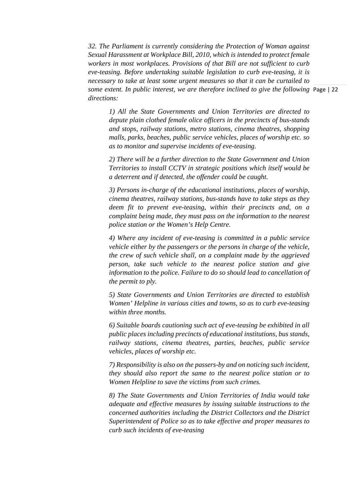some extent. In public interest, we are therefore inclined to give the following Page | 22 *32. The Parliament is currently considering the Protection of Woman against Sexual Harassment at Workplace Bill, 2010, which is intended to protect female workers in most workplaces. Provisions of that Bill are not sufficient to curb eve-teasing. Before undertaking suitable legislation to curb eve-teasing, it is necessary to take at least some urgent measures so that it can be curtailed to directions:* 

*1) All the State Governments and Union Territories are directed to depute plain clothed female olice officers in the precincts of bus-stands and stops, railway stations, metro stations, cinema theatres, shopping malls, parks, beaches, public service vehicles, places of worship etc. so as to monitor and supervise incidents of eve-teasing.* 

*2) There will be a further direction to the State Government and Union Territories to install CCTV in strategic positions which itself would be a deterrent and if detected, the offender could be caught.* 

*3) Persons in-charge of the educational institutions, places of worship, cinema theatres, railway stations, bus-stands have to take steps as they deem fit to prevent eve-teasing, within their precincts and, on a complaint being made, they must pass on the information to the nearest police station or the Women's Help Centre.* 

*4) Where any incident of eve-teasing is committed in a public service vehicle either by the passengers or the persons in charge of the vehicle, the crew of such vehicle shall, on a complaint made by the aggrieved person, take such vehicle to the nearest police station and give information to the police. Failure to do so should lead to cancellation of the permit to ply.* 

*5) State Governments and Union Territories are directed to establish Women' Helpline in various cities and towns, so as to curb eve-teasing within three months.* 

*6) Suitable boards cautioning such act of eve-teasing be exhibited in all public places including precincts of educational institutions, bus stands, railway stations, cinema theatres, parties, beaches, public service vehicles, places of worship etc.* 

*7) Responsibility is also on the passers-by and on noticing such incident, they should also report the same to the nearest police station or to Women Helpline to save the victims from such crimes.* 

*8) The State Governments and Union Territories of India would take adequate and effective measures by issuing suitable instructions to the concerned authorities including the District Collectors and the District Superintendent of Police so as to take effective and proper measures to curb such incidents of eve-teasing*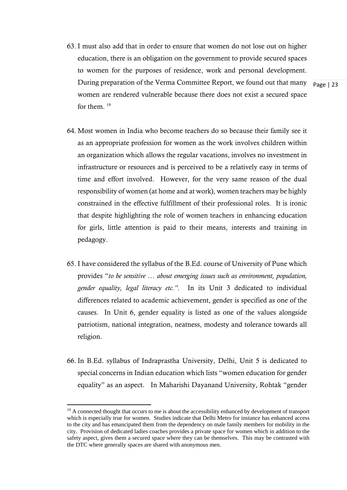63. I must also add that in order to ensure that women do not lose out on higher education, there is an obligation on the government to provide secured spaces to women for the purposes of residence, work and personal development. During preparation of the Verma Committee Report, we found out that many women are rendered vulnerable because there does not exist a secured space for them  $19$ 

Page | 23

- 64. Most women in India who become teachers do so because their family see it as an appropriate profession for women as the work involves children within an organization which allows the regular vacations, involves no investment in infrastructure or resources and is perceived to be a relatively easy in terms of time and effort involved. However, for the very same reason of the dual responsibility of women (at home and at work), women teachers may be highly constrained in the effective fulfillment of their professional roles. It is ironic that despite highlighting the role of women teachers in enhancing education for girls, little attention is paid to their means, interests and training in pedagogy.
- 65. I have considered the syllabus of the B.Ed. course of University of Pune which provides "*to be sensitive … about emerging issues such as environment, population, gender equality, legal literacy etc."*. In its Unit 3 dedicated to individual differences related to academic achievement, gender is specified as one of the causes. In Unit 6, gender equality is listed as one of the values alongside patriotism, national integration, neatness, modesty and tolerance towards all religion.
- 66. In B.Ed. syllabus of Indraprastha University, Delhi, Unit 5 is dedicated to special concerns in Indian education which lists "women education for gender equality" as an aspect. In Maharishi Dayanand University, Rohtak "gender

<sup>&</sup>lt;sup>19</sup> A connected thought that occurs to me is about the accessibility enhanced by development of transport which is especially true for women. Studies indicate that Delhi Metro for instance has enhanced access to the city and has emancipated them from the dependency on male family members for mobility in the city. Provision of dedicated ladies coaches provides a private space for women which in addition to the safety aspect, gives them a secured space where they can be themselves. This may be contrasted with the DTC where generally spaces are shared with anonymous men.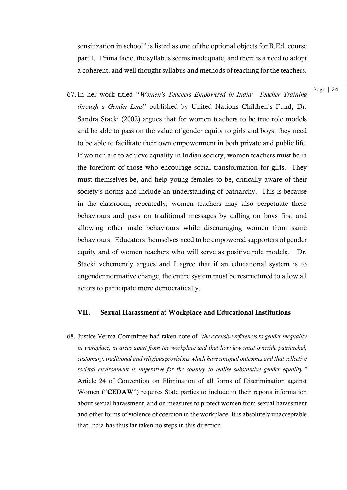sensitization in school" is listed as one of the optional objects for B.Ed. course part I. Prima facie, the syllabus seems inadequate, and there is a need to adopt a coherent, and well thought syllabus and methods of teaching for the teachers.

Page | 24

67. In her work titled "*Women's Teachers Empowered in India: Teacher Training through a Gender Lens*" published by United Nations Children's Fund, Dr. Sandra Stacki (2002) argues that for women teachers to be true role models and be able to pass on the value of gender equity to girls and boys, they need to be able to facilitate their own empowerment in both private and public life. If women are to achieve equality in Indian society, women teachers must be in the forefront of those who encourage social transformation for girls. They must themselves be, and help young females to be, critically aware of their society's norms and include an understanding of patriarchy. This is because in the classroom, repeatedly, women teachers may also perpetuate these behaviours and pass on traditional messages by calling on boys first and allowing other male behaviours while discouraging women from same behaviours. Educators themselves need to be empowered supporters of gender equity and of women teachers who will serve as positive role models. Dr. Stacki vehemently argues and I agree that if an educational system is to engender normative change, the entire system must be restructured to allow all actors to participate more democratically.

#### VII. Sexual Harassment at Workplace and Educational Institutions

68. Justice Verma Committee had taken note of "*the extensive references to gender inequality in workplace, in areas apart from the workplace and that how law must override patriarchal, customary, traditional and religious provisions which have unequal outcomes and that collective societal environment is imperative for the country to realise substantive gender equality."*  Article 24 of Convention on Elimination of all forms of Discrimination against Women ("CEDAW") requires State parties to include in their reports information about sexual harassment, and on measures to protect women from sexual harassment and other forms of violence of coercion in the workplace. It is absolutely unacceptable that India has thus far taken no steps in this direction.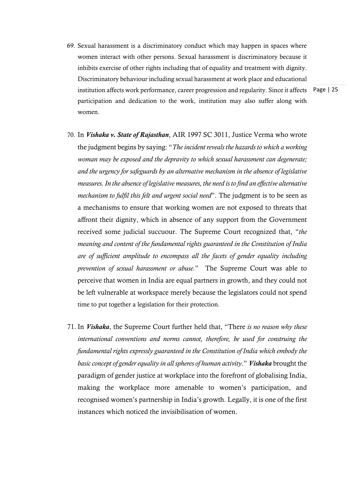- institution affects work performance, career progression and regularity. Since it affects Page | 25 69. Sexual harassment is a discriminatory conduct which may happen in spaces where women interact with other persons. Sexual harassment is discriminatory because it inhibits exercise of other rights including that of equality and treatment with dignity. Discriminatory behaviour including sexual harassment at work place and educational participation and dedication to the work, institution may also suffer along with women.
	-
- 70. In *Vishaka v. State of Rajasthan*, AIR 1997 SC 3011, Justice Verma who wrote the judgment begins by saying: "*The incident reveals the hazards to which a working woman may be exposed and the depravity to which sexual harassment can degenerate; and the urgency for safeguards by an alternative mechanism in the absence of legislative measures. In the absence of legislative measures, the need is to find an effective alternative mechanism to fulfil this felt and urgent social need*". The judgment is to be seen as a mechanisms to ensure that working women are not exposed to threats that affront their dignity, which in absence of any support from the Government received some judicial succuour. The Supreme Court recognized that, "*the meaning and content of the fundamental rights guaranteed in the Constitution of India are of sufficient amplitude to encompass all the facets of gender equality including prevention of sexual harassment or abuse.*" The Supreme Court was able to perceive that women in India are equal partners in growth, and they could not be left vulnerable at workspace merely because the legislators could not spend time to put together a legislation for their protection.
- 71. In *Vishaka*, the Supreme Court further held that, "There *is no reason why these international conventions and norms cannot, therefore, be used for construing the fundamental rights expressly guaranteed in the Constitution of India which embody the basic concept of gender equality in all spheres of human activity*." *Vishaka* brought the paradigm of gender justice at workplace into the forefront of globalising India, making the workplace more amenable to women's participation, and recognised women's partnership in India's growth. Legally, it is one of the first instances which noticed the invisibilisation of women.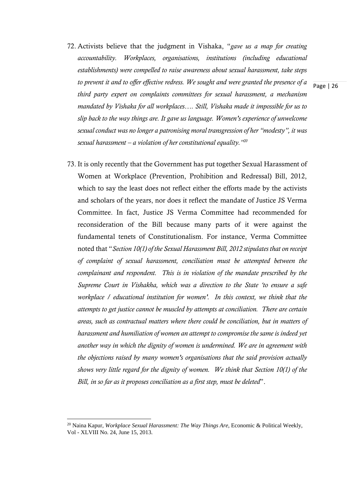72. Activists believe that the judgment in Vishaka, "*gave us a map for creating accountability. Workplaces, organisations, institutions (including educational establishments) were compelled to raise awareness about sexual harassment, take steps to prevent it and to offer effective redress. We sought and were granted the presence of a third party expert on complaints committees for sexual harassment, a mechanism mandated by Vishaka for all workplaces…. Still, Vishaka made it impossible for us to slip back to the way things are. It gave us language. Women's experience of unwelcome sexual conduct was no longer a patronising moral transgression of her "modesty", it was sexual harassment – a violation of her constitutional equality."20*

Page | 26

73. It is only recently that the Government has put together Sexual Harassment of Women at Workplace (Prevention, Prohibition and Redressal) Bill, 2012, which to say the least does not reflect either the efforts made by the activists and scholars of the years, nor does it reflect the mandate of Justice JS Verma Committee. In fact, Justice JS Verma Committee had recommended for reconsideration of the Bill because many parts of it were against the fundamental tenets of Constitutionalism. For instance, Verma Committee noted that "*Section 10(1) of the Sexual Harassment Bill, 2012 stipulates that on receipt of complaint of sexual harassment, conciliation must be attempted between the complainant and respondent. This is in violation of the mandate prescribed by the Supreme Court in Vishakha, which was a direction to the State 'to ensure a safe workplace / educational institution for women'. In this context, we think that the attempts to get justice cannot be muscled by attempts at conciliation. There are certain areas, such as contractual matters where there could be conciliation, but in matters of harassment and humiliation of women an attempt to compromise the same is indeed yet another way in which the dignity of women is undermined. We are in agreement with the objections raised by many women's organisations that the said provision actually shows very little regard for the dignity of women. We think that Section 10(1) of the Bill, in so far as it proposes conciliation as a first step, must be deleted*".

<sup>20</sup> Naina Kapur, *Workplace Sexual Harassment: The Way Things Are*, Economic & Political Weekly, Vol - XLVIII No. 24, June 15, 2013.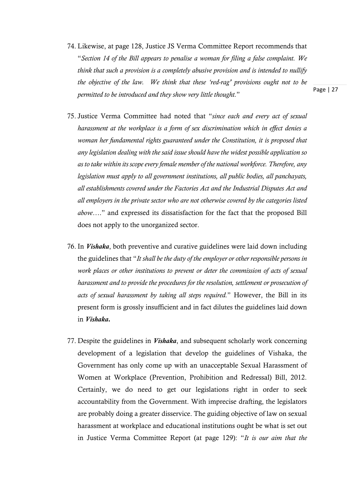- 74. Likewise, at page 128, Justice JS Verma Committee Report recommends that "*Section 14 of the Bill appears to penalise a woman for filing a false complaint. We think that such a provision is a completely abusive provision and is intended to nullify the objective of the law. We think that these 'red-rag' provisions ought not to be permitted to be introduced and they show very little thought.*"
- 75. Justice Verma Committee had noted that "*since each and every act of sexual harassment at the workplace is a form of sex discrimination which in effect denies a woman her fundamental rights guaranteed under the Constitution, it is proposed that any legislation dealing with the said issue should have the widest possible application so as to take within its scope every female member of the national workforce. Therefore, any legislation must apply to all government institutions, all public bodies, all panchayats, all establishments covered under the Factories Act and the Industrial Disputes Act and all employers in the private sector who are not otherwise covered by the categories listed above*…." and expressed its dissatisfaction for the fact that the proposed Bill does not apply to the unorganized sector.
- 76. In *Vishaka*, both preventive and curative guidelines were laid down including the guidelines that "*It shall be the duty of the employer or other responsible persons in work places or other institutions to prevent or deter the commission of acts of sexual harassment and to provide the procedures for the resolution, settlement or prosecution of acts of sexual harassment by taking all steps required.*" However, the Bill in its present form is grossly insufficient and in fact dilutes the guidelines laid down in *Vishaka.*
- 77. Despite the guidelines in *Vishaka*, and subsequent scholarly work concerning development of a legislation that develop the guidelines of Vishaka, the Government has only come up with an unacceptable Sexual Harassment of Women at Workplace (Prevention, Prohibition and Redressal) Bill, 2012. Certainly, we do need to get our legislations right in order to seek accountability from the Government. With imprecise drafting, the legislators are probably doing a greater disservice. The guiding objective of law on sexual harassment at workplace and educational institutions ought be what is set out in Justice Verma Committee Report (at page 129): "*It is our aim that the*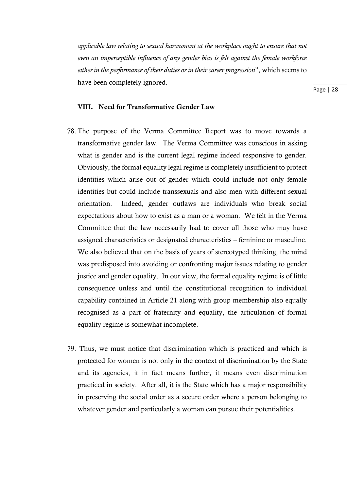*applicable law relating to sexual harassment at the workplace ought to ensure that not even an imperceptible influence of any gender bias is felt against the female workforce either in the performance of their duties or in their career progression*", which seems to have been completely ignored.

Page | 28

#### VIII. Need for Transformative Gender Law

- 78. The purpose of the Verma Committee Report was to move towards a transformative gender law. The Verma Committee was conscious in asking what is gender and is the current legal regime indeed responsive to gender. Obviously, the formal equality legal regime is completely insufficient to protect identities which arise out of gender which could include not only female identities but could include transsexuals and also men with different sexual orientation. Indeed, gender outlaws are individuals who break social expectations about how to exist as a man or a woman. We felt in the Verma Committee that the law necessarily had to cover all those who may have assigned characteristics or designated characteristics – feminine or masculine. We also believed that on the basis of years of stereotyped thinking, the mind was predisposed into avoiding or confronting major issues relating to gender justice and gender equality. In our view, the formal equality regime is of little consequence unless and until the constitutional recognition to individual capability contained in Article 21 along with group membership also equally recognised as a part of fraternity and equality, the articulation of formal equality regime is somewhat incomplete.
- 79. Thus, we must notice that discrimination which is practiced and which is protected for women is not only in the context of discrimination by the State and its agencies, it in fact means further, it means even discrimination practiced in society. After all, it is the State which has a major responsibility in preserving the social order as a secure order where a person belonging to whatever gender and particularly a woman can pursue their potentialities.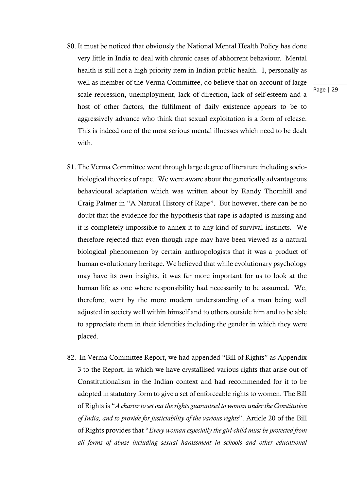- 80. It must be noticed that obviously the National Mental Health Policy has done very little in India to deal with chronic cases of abhorrent behaviour. Mental health is still not a high priority item in Indian public health. I, personally as well as member of the Verma Committee, do believe that on account of large scale repression, unemployment, lack of direction, lack of self-esteem and a host of other factors, the fulfilment of daily existence appears to be to aggressively advance who think that sexual exploitation is a form of release. This is indeed one of the most serious mental illnesses which need to be dealt with
- 81. The Verma Committee went through large degree of literature including sociobiological theories of rape. We were aware about the genetically advantageous behavioural adaptation which was written about by Randy Thornhill and Craig Palmer in "A Natural History of Rape". But however, there can be no doubt that the evidence for the hypothesis that rape is adapted is missing and it is completely impossible to annex it to any kind of survival instincts. We therefore rejected that even though rape may have been viewed as a natural biological phenomenon by certain anthropologists that it was a product of human evolutionary heritage. We believed that while evolutionary psychology may have its own insights, it was far more important for us to look at the human life as one where responsibility had necessarily to be assumed. We, therefore, went by the more modern understanding of a man being well adjusted in society well within himself and to others outside him and to be able to appreciate them in their identities including the gender in which they were placed.
- 82. In Verma Committee Report, we had appended "Bill of Rights" as Appendix 3 to the Report, in which we have crystallised various rights that arise out of Constitutionalism in the Indian context and had recommended for it to be adopted in statutory form to give a set of enforceable rights to women. The Bill of Rights is "*A charter to set out the rights guaranteed to women under the Constitution of India, and to provide for justiciability of the various rights*". Article 20 of the Bill of Rights provides that "*Every woman especially the girl-child must be protected from all forms of abuse including sexual harassment in schools and other educational*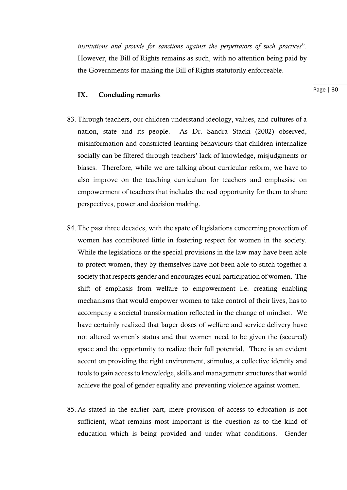*institutions and provide for sanctions against the perpetrators of such practices*". However, the Bill of Rights remains as such, with no attention being paid by the Governments for making the Bill of Rights statutorily enforceable.

#### IX. Concluding remarks

- 83. Through teachers, our children understand ideology, values, and cultures of a nation, state and its people. As Dr. Sandra Stacki (2002) observed, misinformation and constricted learning behaviours that children internalize socially can be filtered through teachers' lack of knowledge, misjudgments or biases. Therefore, while we are talking about curricular reform, we have to also improve on the teaching curriculum for teachers and emphasise on empowerment of teachers that includes the real opportunity for them to share perspectives, power and decision making.
- 84. The past three decades, with the spate of legislations concerning protection of women has contributed little in fostering respect for women in the society. While the legislations or the special provisions in the law may have been able to protect women, they by themselves have not been able to stitch together a society that respects gender and encourages equal participation of women. The shift of emphasis from welfare to empowerment i.e. creating enabling mechanisms that would empower women to take control of their lives, has to accompany a societal transformation reflected in the change of mindset. We have certainly realized that larger doses of welfare and service delivery have not altered women's status and that women need to be given the (secured) space and the opportunity to realize their full potential. There is an evident accent on providing the right environment, stimulus, a collective identity and tools to gain access to knowledge, skills and management structures that would achieve the goal of gender equality and preventing violence against women.
- 85. As stated in the earlier part, mere provision of access to education is not sufficient, what remains most important is the question as to the kind of education which is being provided and under what conditions. Gender